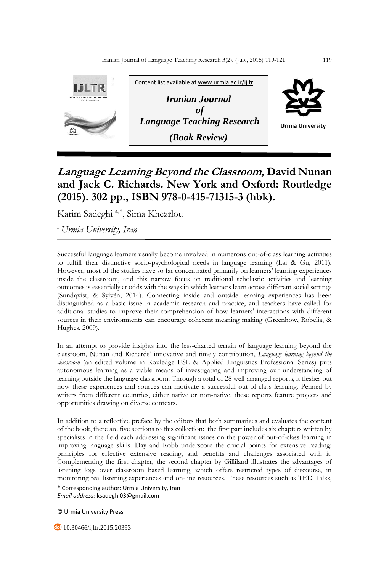

## **Language Learning Beyond the Classroom, David Nunan and Jack C. Richards. New York and Oxford: Routledge (2015). 302 pp., ISBN 978-0-415-71315-3 (hbk).**

Karim Sadeghi<sup>a,\*</sup>, Sima Khezrlou

*<sup>a</sup>Urmia University, Iran*

Successful language learners usually become involved in numerous out-of-class learning activities to fulfill their distinctive socio-psychological needs in language learning (Lai & Gu, 2011). However, most of the studies have so far concentrated primarily on learners' learning experiences inside the classroom, and this narrow focus on traditional scholastic activities and learning outcomes is essentially at odds with the ways in which learners learn across different social settings (Sundqvist, & Sylvén, 2014). Connecting inside and outside learning experiences has been distinguished as a basic issue in academic research and practice, and teachers have called for additional studies to improve their comprehension of how learners' interactions with different sources in their environments can encourage coherent meaning making (Greenhow, Robelia, & Hughes, 2009).

In an attempt to provide insights into the less-charted terrain of language learning beyond the classroom, Nunan and Richards' innovative and timely contribution, *Language learning beyond the classroom* (an edited volume in Rouledge ESL & Applied Linguistics Professional Series) puts autonomous learning as a viable means of investigating and improving our understanding of learning outside the language classroom. Through a total of 28 well-arranged reports, it fleshes out how these experiences and sources can motivate a successful out-of-class learning. Penned by writers from different countries, either native or non-native, these reports feature projects and opportunities drawing on diverse contexts.

In addition to a reflective preface by the editors that both summarizes and evaluates the content of the book, there are five sections to this collection: the first part includes six chapters written by specialists in the field each addressing significant issues on the power of out-of-class learning in improving language skills. Day and Robb underscore the crucial points for extensive reading: principles for effective extensive reading, and benefits and challenges associated with it. Complementing the first chapter, the second chapter by Gilliland illustrates the advantages of listening logs over classroom based learning, which offers restricted types of discourse, in monitoring real listening experiences and on-line resources. These resources such as TED Talks,

\* Corresponding author: Urmia University, Iran *Email address:* ksadeghi03@gmail.com

© Urmia University Press

**40** 10.30466/ijltr.2015.20393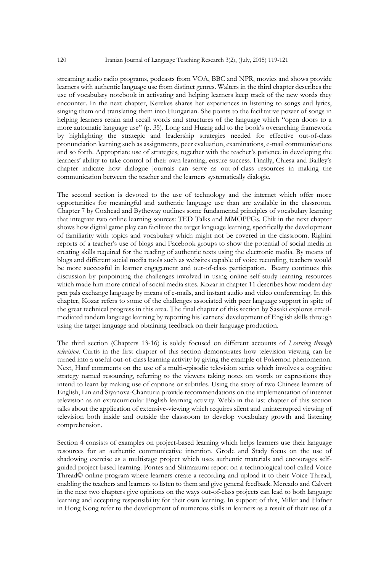streaming audio radio programs, podcasts from VOA, BBC and NPR, movies and shows provide learners with authentic language use from distinct genres. Walters in the third chapter describes the use of vocabulary notebook in activating and helping learners keep track of the new words they encounter. In the next chapter, Kerekes shares her experiences in listening to songs and lyrics, singing them and translating them into Hungarian. She points to the facilitative power of songs in helping learners retain and recall words and structures of the language which "open doors to a more automatic language use" (p. 35). Long and Huang add to the book's overarching framework by highlighting the strategic and leadership strategies needed for effective out-of-class pronunciation learning such as assignments, peer evaluation, examinations, e-mail communications and so forth. Appropriate use of strategies, together with the teacher's patience in developing the learners' ability to take control of their own learning, ensure success. Finally, Chiesa and Bailley's chapter indicate how dialogue journals can serve as out-of-class resources in making the communication between the teacher and the learners systematically dialogic.

The second section is devoted to the use of technology and the internet which offer more opportunities for meaningful and authentic language use than are available in the classroom. Chapter 7 by Coxhead and Bytheway outlines some fundamental principles of vocabulary learning that integrate two online learning sources: TED Talks and MMOPPGs. Chik in the next chapter shows how digital game play can facilitate the target language learning, specifically the development of familiarity with topics and vocabulary which might not be covered in the classroom. Righini reports of a teacher's use of blogs and Facebook groups to show the potential of social media in creating skills required for the reading of authentic texts using the electronic media. By means of blogs and different social media tools such as websites capable of voice recording, teachers would be more successful in learner engagement and out-of-class participation. Beatty continues this discussion by pinpointing the challenges involved in using online self-study learning resources which made him more critical of social media sites. Kozar in chapter 11 describes how modern day pen pals exchange language by means of e-mails, and instant audio and video conferencing. In this chapter, Kozar refers to some of the challenges associated with peer language support in spite of the great technical progress in this area. The final chapter of this section by Sasaki explores emailmediated tandem language learning by reporting his learners' development of English skills through using the target language and obtaining feedback on their language production.

The third section (Chapters 13-16) is solely focused on different accounts of *Learning through television*. Curtis in the first chapter of this section demonstrates how television viewing can be turned into a useful out-of-class learning activity by giving the example of Pokemon phenomenon. Next, Hanf comments on the use of a multi-episodic television series which involves a cognitive strategy named resourcing, referring to the viewers taking notes on words or expressions they intend to learn by making use of captions or subtitles. Using the story of two Chinese learners of English, Lin and Siyanova-Chanturia provide recommendations on the implementation of internet television as an extracurricular English learning activity. Webb in the last chapter of this section talks about the application of extensive-viewing which requires silent and uninterrupted viewing of television both inside and outside the classroom to develop vocabulary growth and listening comprehension.

Section 4 consists of examples on project-based learning which helps learners use their language resources for an authentic communicative intention. Grode and Stady focus on the use of shadowing exercise as a multistage project which uses authentic materials and encourages selfguided project-based learning. Pontes and Shimazumi report on a technological tool called Voice Thread© online program where learners create a recording and upload it to their Voice Thread, enabling the teachers and learners to listen to them and give general feedback. Mercado and Calvert in the next two chapters give opinions on the ways out-of-class projects can lead to both language learning and accepting responsibility for their own learning. In support of this, Miller and Hafner in Hong Kong refer to the development of numerous skills in learners as a result of their use of a